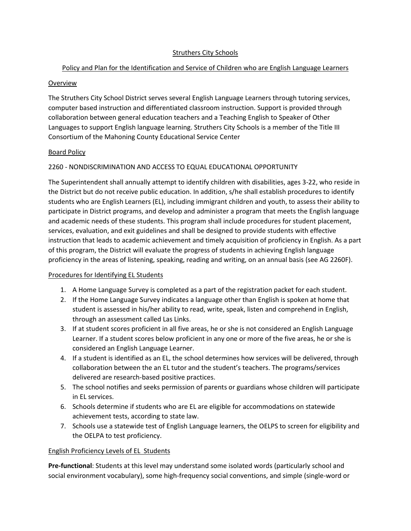# Struthers City Schools

# Policy and Plan for the Identification and Service of Children who are English Language Learners

#### Overview

The Struthers City School District serves several English Language Learners through tutoring services, computer based instruction and differentiated classroom instruction. Support is provided through collaboration between general education teachers and a Teaching English to Speaker of Other Languages to support English language learning. Struthers City Schools is a member of the Title III Consortium of the Mahoning County Educational Service Center

## Board Policy

## 2260 - NONDISCRIMINATION AND ACCESS TO EQUAL EDUCATIONAL OPPORTUNITY

The Superintendent shall annually attempt to identify children with disabilities, ages 3-22, who reside in the District but do not receive public education. In addition, s/he shall establish procedures to identify students who are English Learners (EL), including immigrant children and youth, to assess their ability to participate in District programs, and develop and administer a program that meets the English language and academic needs of these students. This program shall include procedures for student placement, services, evaluation, and exit guidelines and shall be designed to provide students with effective instruction that leads to academic achievement and timely acquisition of proficiency in English. As a part of this program, the District will evaluate the progress of students in achieving English language proficiency in the areas of listening, speaking, reading and writing, on an annual basis (see AG 2260F).

#### Procedures for Identifying EL Students

- 1. A Home Language Survey is completed as a part of the registration packet for each student.
- 2. If the Home Language Survey indicates a language other than English is spoken at home that student is assessed in his/her ability to read, write, speak, listen and comprehend in English, through an assessment called Las Links.
- 3. If at student scores proficient in all five areas, he or she is not considered an English Language Learner. If a student scores below proficient in any one or more of the five areas, he or she is considered an English Language Learner.
- 4. If a student is identified as an EL, the school determines how services will be delivered, through collaboration between the an EL tutor and the student's teachers. The programs/services delivered are research-based positive practices.
- 5. The school notifies and seeks permission of parents or guardians whose children will participate in EL services.
- 6. Schools determine if students who are EL are eligible for accommodations on statewide achievement tests, according to state law.
- 7. Schools use a statewide test of English Language learners, the OELPS to screen for eligibility and the OELPA to test proficiency.

#### English Proficiency Levels of EL Students

**Pre-functional**: Students at this level may understand some isolated words (particularly school and social environment vocabulary), some high-frequency social conventions, and simple (single-word or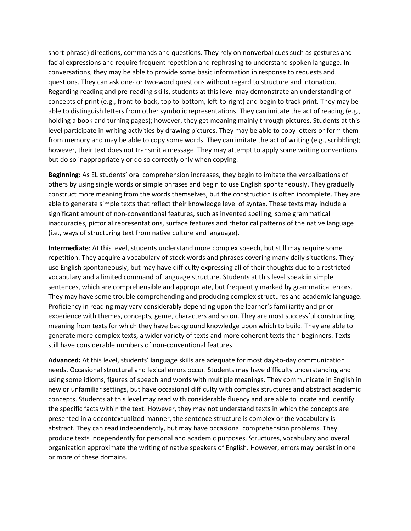short-phrase) directions, commands and questions. They rely on nonverbal cues such as gestures and facial expressions and require frequent repetition and rephrasing to understand spoken language. In conversations, they may be able to provide some basic information in response to requests and questions. They can ask one- or two-word questions without regard to structure and intonation. Regarding reading and pre-reading skills, students at this level may demonstrate an understanding of concepts of print (e.g., front-to-back, top to-bottom, left-to-right) and begin to track print. They may be able to distinguish letters from other symbolic representations. They can imitate the act of reading (e.g., holding a book and turning pages); however, they get meaning mainly through pictures. Students at this level participate in writing activities by drawing pictures. They may be able to copy letters or form them from memory and may be able to copy some words. They can imitate the act of writing (e.g., scribbling); however, their text does not transmit a message. They may attempt to apply some writing conventions but do so inappropriately or do so correctly only when copying.

**Beginning**: As EL students' oral comprehension increases, they begin to imitate the verbalizations of others by using single words or simple phrases and begin to use English spontaneously. They gradually construct more meaning from the words themselves, but the construction is often incomplete. They are able to generate simple texts that reflect their knowledge level of syntax. These texts may include a significant amount of non-conventional features, such as invented spelling, some grammatical inaccuracies, pictorial representations, surface features and rhetorical patterns of the native language (i.e., ways of structuring text from native culture and language).

**Intermediate**: At this level, students understand more complex speech, but still may require some repetition. They acquire a vocabulary of stock words and phrases covering many daily situations. They use English spontaneously, but may have difficulty expressing all of their thoughts due to a restricted vocabulary and a limited command of language structure. Students at this level speak in simple sentences, which are comprehensible and appropriate, but frequently marked by grammatical errors. They may have some trouble comprehending and producing complex structures and academic language. Proficiency in reading may vary considerably depending upon the learner's familiarity and prior experience with themes, concepts, genre, characters and so on. They are most successful constructing meaning from texts for which they have background knowledge upon which to build. They are able to generate more complex texts, a wider variety of texts and more coherent texts than beginners. Texts still have considerable numbers of non-conventional features

**Advanced:** At this level, students' language skills are adequate for most day-to-day communication needs. Occasional structural and lexical errors occur. Students may have difficulty understanding and using some idioms, figures of speech and words with multiple meanings. They communicate in English in new or unfamiliar settings, but have occasional difficulty with complex structures and abstract academic concepts. Students at this level may read with considerable fluency and are able to locate and identify the specific facts within the text. However, they may not understand texts in which the concepts are presented in a decontextualized manner, the sentence structure is complex or the vocabulary is abstract. They can read independently, but may have occasional comprehension problems. They produce texts independently for personal and academic purposes. Structures, vocabulary and overall organization approximate the writing of native speakers of English. However, errors may persist in one or more of these domains.